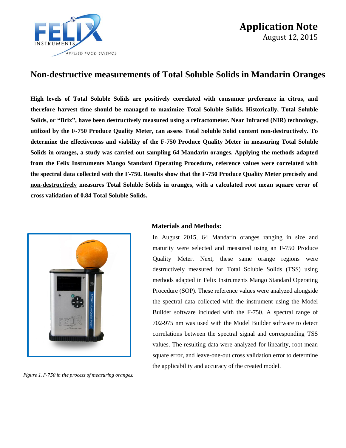

## **Non-destructive measurements of Total Soluble Solids in Mandarin Oranges**

\_\_\_\_\_\_\_\_\_\_\_\_\_\_\_\_\_\_\_\_\_\_\_\_\_\_\_\_\_\_\_\_\_\_\_\_\_\_\_\_\_\_\_\_\_\_\_\_\_\_\_\_\_\_\_\_\_\_\_\_\_\_\_\_\_\_\_\_\_\_\_\_\_\_\_\_\_\_\_\_\_\_\_\_

**High levels of Total Soluble Solids are positively correlated with consumer preference in citrus, and therefore harvest time should be managed to maximize Total Soluble Solids. Historically, Total Soluble Solids, or "Brix", have been destructively measured using a refractometer. Near Infrared (NIR) technology, utilized by the F-750 Produce Quality Meter, can assess Total Soluble Solid content non-destructively. To determine the effectiveness and viability of the F-750 Produce Quality Meter in measuring Total Soluble Solids in oranges, a study was carried out sampling 64 Mandarin oranges. Applying the methods adapted from the Felix Instruments Mango Standard Operating Procedure, reference values were correlated with the spectral data collected with the F-750. Results show that the F-750 Produce Quality Meter precisely and non-destructively measures Total Soluble Solids in oranges, with a calculated root mean square error of cross validation of 0.84 Total Soluble Solids.** 



*Figure 1. F-750 in the process of measuring oranges.*

#### **Materials and Methods:**

In August 2015, 64 Mandarin oranges ranging in size and maturity were selected and measured using an F-750 Produce Quality Meter. Next, these same orange regions were destructively measured for Total Soluble Solids (TSS) using methods adapted in Felix Instruments Mango Standard Operating Procedure (SOP). These reference values were analyzed alongside the spectral data collected with the instrument using the Model Builder software included with the F-750. A spectral range of 702-975 nm was used with the Model Builder software to detect correlations between the spectral signal and corresponding TSS values. The resulting data were analyzed for linearity, root mean square error, and leave-one-out cross validation error to determine the applicability and accuracy of the created model.